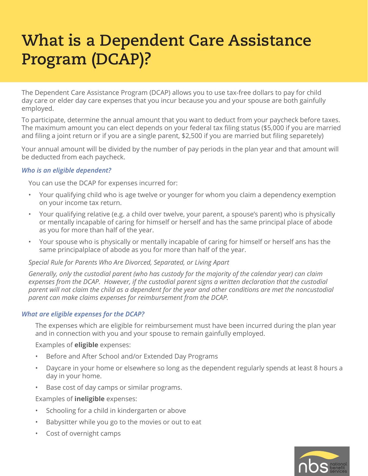# **What is a Dependent Care Assistance Program (DCAP)?**

The Dependent Care Assistance Program (DCAP) allows you to use tax-free dollars to pay for child day care or elder day care expenses that you incur because you and your spouse are both gainfully employed.

To participate, determine the annual amount that you want to deduct from your paycheck before taxes. The maximum amount you can elect depends on your federal tax filing status (\$5,000 if you are married and filing a joint return or if you are a single parent, \$2,500 if you are married but filing separetely)

Your annual amount will be divided by the number of pay periods in the plan year and that amount will be deducted from each paycheck.

## *Who is an eligible dependent?*

You can use the DCAP for expenses incurred for:

- Your qualifying child who is age twelve or younger for whom you claim a dependency exemption on your income tax return.
- Your qualifying relative (e.g. a child over twelve, your parent, a spouse's parent) who is physically or mentally incapable of caring for himself or herself and has the same principal place of abode as you for more than half of the year.
- Your spouse who is physically or mentally incapable of caring for himself or herself ans has the same principalplace of abode as you for more than half of the year.

## *Special Rule for Parents Who Are Divorced, Separated, or Living Apart*

*Generally, only the custodial parent (who has custody for the majority of the calendar year) can claim expenses from the DCAP. However, if the custodial parent signs a written declaration that the custodial parent will not claim the child as a dependent for the year and other conditions are met the noncustodial parent can make claims expenses for reimbursement from the DCAP.*

## *What are eligible expenses for the DCAP?*

The expenses which are eligible for reimbursement must have been incurred during the plan year and in connection with you and your spouse to remain gainfully employed.

Examples of **eligible** expenses:

- Before and After School and/or Extended Day Programs
- Daycare in your home or elsewhere so long as the dependent regularly spends at least 8 hours a day in your home.
- Base cost of day camps or similar programs.

Examples of **ineligible** expenses:

- Schooling for a child in kindergarten or above
- Babysitter while you go to the movies or out to eat
- Cost of overnight camps